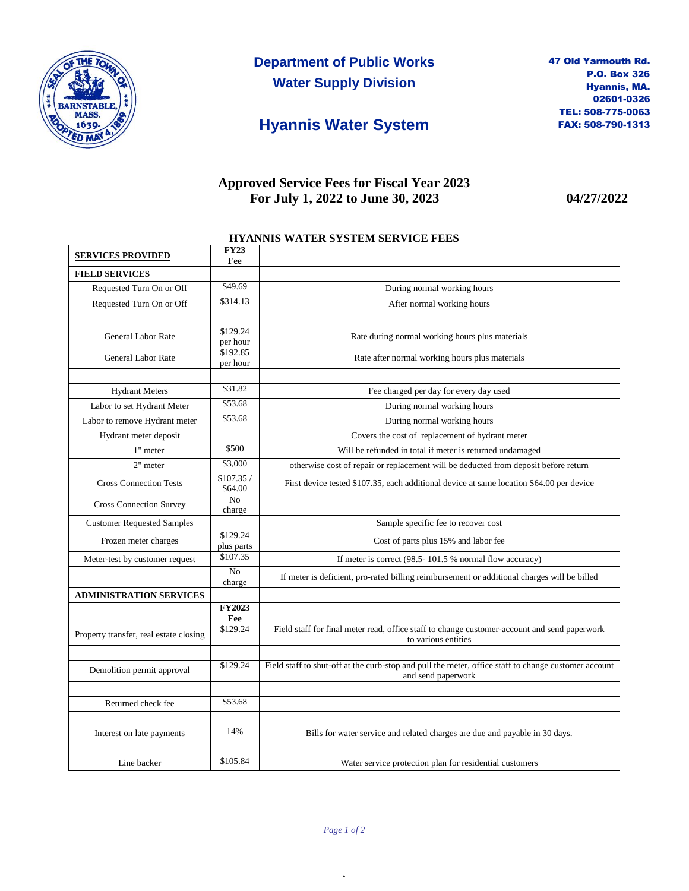

**Department of Public Works Water Supply Division**

## **Hyannis Water System**

### **Approved Service Fees for Fiscal Year 2023 For July 1, 2022 to June 30, 2023 04/27/2022**

#### **HYANNIS WATER SYSTEM SERVICE FEES**

| <b>SERVICES PROVIDED</b>               | <b>FY23</b><br>Fee     |                                                                                                                            |
|----------------------------------------|------------------------|----------------------------------------------------------------------------------------------------------------------------|
| <b>FIELD SERVICES</b>                  |                        |                                                                                                                            |
| Requested Turn On or Off               | \$49.69                | During normal working hours                                                                                                |
| Requested Turn On or Off               | \$314.13               | After normal working hours                                                                                                 |
|                                        |                        |                                                                                                                            |
| General Labor Rate                     | \$129.24<br>per hour   | Rate during normal working hours plus materials                                                                            |
| General Labor Rate                     | \$192.85<br>per hour   | Rate after normal working hours plus materials                                                                             |
|                                        |                        |                                                                                                                            |
| <b>Hydrant Meters</b>                  | \$31.82                | Fee charged per day for every day used                                                                                     |
| Labor to set Hydrant Meter             | \$53.68                | During normal working hours                                                                                                |
| Labor to remove Hydrant meter          | \$53.68                | During normal working hours                                                                                                |
| Hydrant meter deposit                  |                        | Covers the cost of replacement of hydrant meter                                                                            |
| 1" meter                               | \$500                  | Will be refunded in total if meter is returned undamaged                                                                   |
| 2" meter                               | \$3,000                | otherwise cost of repair or replacement will be deducted from deposit before return                                        |
| <b>Cross Connection Tests</b>          | \$107.35/<br>\$64.00   | First device tested \$107.35, each additional device at same location \$64.00 per device                                   |
| <b>Cross Connection Survey</b>         | No<br>charge           |                                                                                                                            |
| <b>Customer Requested Samples</b>      |                        | Sample specific fee to recover cost                                                                                        |
| Frozen meter charges                   | \$129.24<br>plus parts | Cost of parts plus 15% and labor fee                                                                                       |
| Meter-test by customer request         | \$107.35               | If meter is correct (98.5-101.5 % normal flow accuracy)                                                                    |
|                                        | No<br>charge           | If meter is deficient, pro-rated billing reimbursement or additional charges will be billed                                |
| <b>ADMINISTRATION SERVICES</b>         |                        |                                                                                                                            |
|                                        | <b>FY2023</b><br>Fee   |                                                                                                                            |
| Property transfer, real estate closing | \$129.24               | Field staff for final meter read, office staff to change customer-account and send paperwork<br>to various entities        |
|                                        |                        |                                                                                                                            |
| Demolition permit approval             | \$129.24               | Field staff to shut-off at the curb-stop and pull the meter, office staff to change customer account<br>and send paperwork |
|                                        |                        |                                                                                                                            |
| Returned check fee                     | \$53.68                |                                                                                                                            |
|                                        |                        |                                                                                                                            |
| Interest on late payments              | 14%                    | Bills for water service and related charges are due and payable in 30 days.                                                |
| Line backer                            | \$105.84               | Water service protection plan for residential customers                                                                    |

,